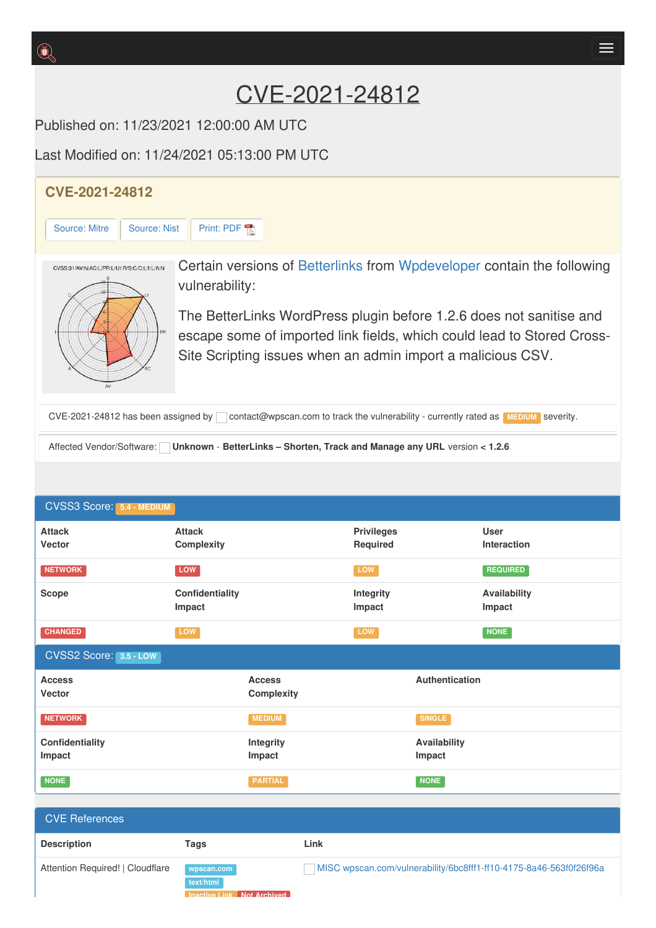## CVE-2021-24812

Published on: 11/23/2021 12:00:00 AM UTC

Last Modified on: 11/24/2021 05:13:00 PM UTC